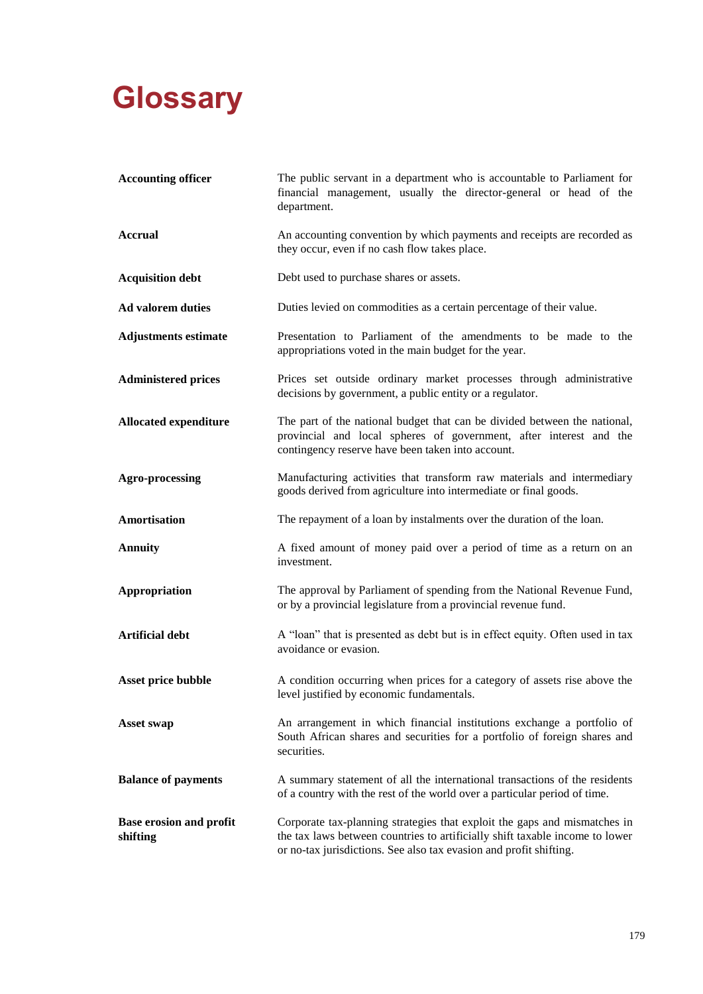## **Glossary**

| <b>Accounting officer</b>                  | The public servant in a department who is accountable to Parliament for<br>financial management, usually the director-general or head of the<br>department.                                                                     |
|--------------------------------------------|---------------------------------------------------------------------------------------------------------------------------------------------------------------------------------------------------------------------------------|
| <b>Accrual</b>                             | An accounting convention by which payments and receipts are recorded as<br>they occur, even if no cash flow takes place.                                                                                                        |
| <b>Acquisition debt</b>                    | Debt used to purchase shares or assets.                                                                                                                                                                                         |
| <b>Ad valorem duties</b>                   | Duties levied on commodities as a certain percentage of their value.                                                                                                                                                            |
| <b>Adjustments estimate</b>                | Presentation to Parliament of the amendments to be made to the<br>appropriations voted in the main budget for the year.                                                                                                         |
| <b>Administered prices</b>                 | Prices set outside ordinary market processes through administrative<br>decisions by government, a public entity or a regulator.                                                                                                 |
| <b>Allocated expenditure</b>               | The part of the national budget that can be divided between the national,<br>provincial and local spheres of government, after interest and the<br>contingency reserve have been taken into account.                            |
| <b>Agro-processing</b>                     | Manufacturing activities that transform raw materials and intermediary<br>goods derived from agriculture into intermediate or final goods.                                                                                      |
| Amortisation                               | The repayment of a loan by instalments over the duration of the loan.                                                                                                                                                           |
| <b>Annuity</b>                             | A fixed amount of money paid over a period of time as a return on an<br>investment.                                                                                                                                             |
| Appropriation                              | The approval by Parliament of spending from the National Revenue Fund,<br>or by a provincial legislature from a provincial revenue fund.                                                                                        |
| <b>Artificial debt</b>                     | A "loan" that is presented as debt but is in effect equity. Often used in tax<br>avoidance or evasion.                                                                                                                          |
| Asset price bubble                         | A condition occurring when prices for a category of assets rise above the<br>level justified by economic fundamentals.                                                                                                          |
| <b>Asset swap</b>                          | An arrangement in which financial institutions exchange a portfolio of<br>South African shares and securities for a portfolio of foreign shares and<br>securities.                                                              |
| <b>Balance of payments</b>                 | A summary statement of all the international transactions of the residents<br>of a country with the rest of the world over a particular period of time.                                                                         |
| <b>Base erosion and profit</b><br>shifting | Corporate tax-planning strategies that exploit the gaps and mismatches in<br>the tax laws between countries to artificially shift taxable income to lower<br>or no-tax jurisdictions. See also tax evasion and profit shifting. |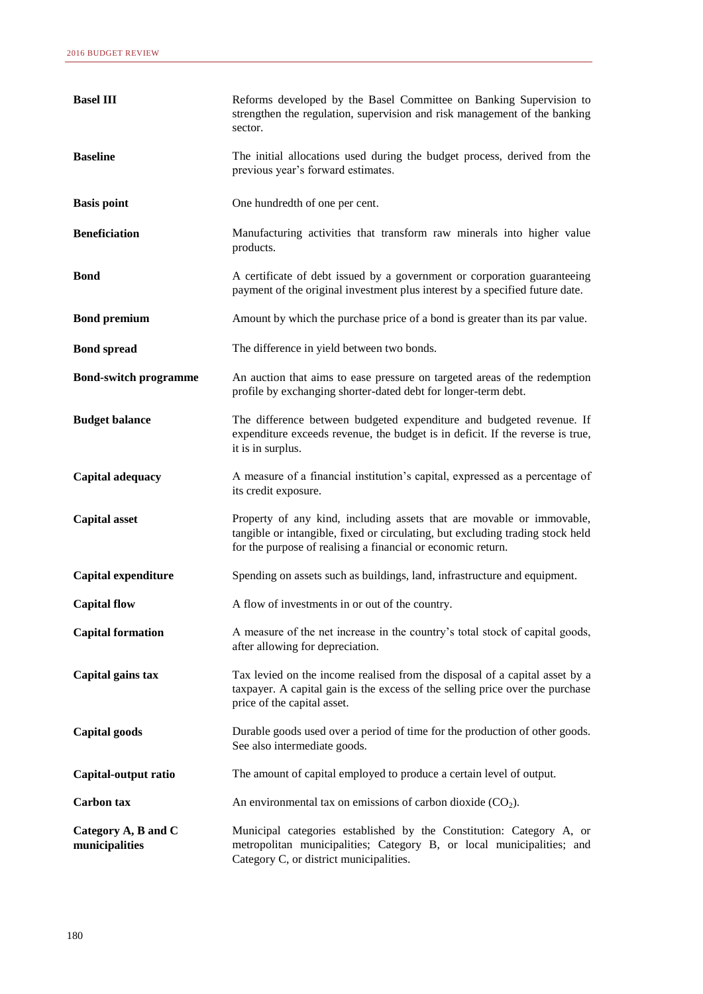| <b>Basel III</b>                      | Reforms developed by the Basel Committee on Banking Supervision to<br>strengthen the regulation, supervision and risk management of the banking<br>sector.                                                              |
|---------------------------------------|-------------------------------------------------------------------------------------------------------------------------------------------------------------------------------------------------------------------------|
| <b>Baseline</b>                       | The initial allocations used during the budget process, derived from the<br>previous year's forward estimates.                                                                                                          |
| <b>Basis point</b>                    | One hundredth of one per cent.                                                                                                                                                                                          |
| <b>Beneficiation</b>                  | Manufacturing activities that transform raw minerals into higher value<br>products.                                                                                                                                     |
| <b>Bond</b>                           | A certificate of debt issued by a government or corporation guaranteeing<br>payment of the original investment plus interest by a specified future date.                                                                |
| <b>Bond premium</b>                   | Amount by which the purchase price of a bond is greater than its par value.                                                                                                                                             |
| <b>Bond spread</b>                    | The difference in yield between two bonds.                                                                                                                                                                              |
| <b>Bond-switch programme</b>          | An auction that aims to ease pressure on targeted areas of the redemption<br>profile by exchanging shorter-dated debt for longer-term debt.                                                                             |
| <b>Budget balance</b>                 | The difference between budgeted expenditure and budgeted revenue. If<br>expenditure exceeds revenue, the budget is in deficit. If the reverse is true,<br>it is in surplus.                                             |
| Capital adequacy                      | A measure of a financial institution's capital, expressed as a percentage of<br>its credit exposure.                                                                                                                    |
| <b>Capital asset</b>                  | Property of any kind, including assets that are movable or immovable,<br>tangible or intangible, fixed or circulating, but excluding trading stock held<br>for the purpose of realising a financial or economic return. |
| <b>Capital expenditure</b>            | Spending on assets such as buildings, land, infrastructure and equipment.                                                                                                                                               |
| <b>Capital flow</b>                   | A flow of investments in or out of the country.                                                                                                                                                                         |
| <b>Capital formation</b>              | A measure of the net increase in the country's total stock of capital goods,<br>after allowing for depreciation.                                                                                                        |
| Capital gains tax                     | Tax levied on the income realised from the disposal of a capital asset by a<br>taxpayer. A capital gain is the excess of the selling price over the purchase<br>price of the capital asset.                             |
| Capital goods                         | Durable goods used over a period of time for the production of other goods.<br>See also intermediate goods.                                                                                                             |
| Capital-output ratio                  | The amount of capital employed to produce a certain level of output.                                                                                                                                                    |
| <b>Carbon</b> tax                     | An environmental tax on emissions of carbon dioxide $(CO2)$ .                                                                                                                                                           |
| Category A, B and C<br>municipalities | Municipal categories established by the Constitution: Category A, or<br>metropolitan municipalities; Category B, or local municipalities; and<br>Category C, or district municipalities.                                |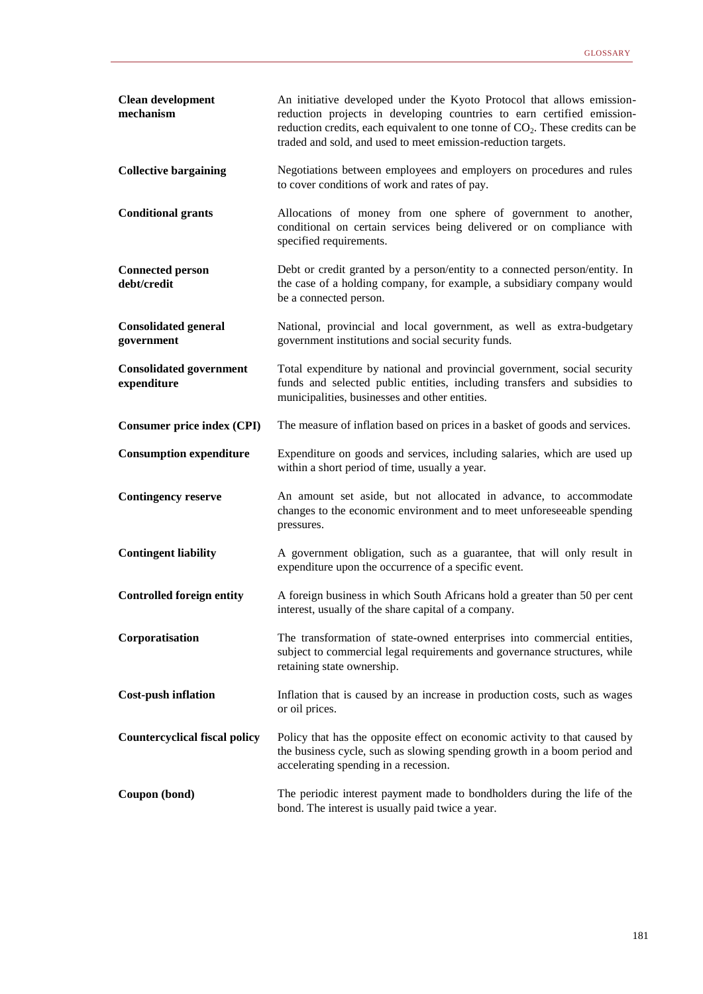| <b>Clean development</b><br>mechanism         | An initiative developed under the Kyoto Protocol that allows emission-<br>reduction projects in developing countries to earn certified emission-<br>reduction credits, each equivalent to one tonne of $CO2$ . These credits can be<br>traded and sold, and used to meet emission-reduction targets. |
|-----------------------------------------------|------------------------------------------------------------------------------------------------------------------------------------------------------------------------------------------------------------------------------------------------------------------------------------------------------|
| <b>Collective bargaining</b>                  | Negotiations between employees and employers on procedures and rules<br>to cover conditions of work and rates of pay.                                                                                                                                                                                |
| <b>Conditional grants</b>                     | Allocations of money from one sphere of government to another,<br>conditional on certain services being delivered or on compliance with<br>specified requirements.                                                                                                                                   |
| <b>Connected person</b><br>debt/credit        | Debt or credit granted by a person/entity to a connected person/entity. In<br>the case of a holding company, for example, a subsidiary company would<br>be a connected person.                                                                                                                       |
| <b>Consolidated general</b><br>government     | National, provincial and local government, as well as extra-budgetary<br>government institutions and social security funds.                                                                                                                                                                          |
| <b>Consolidated government</b><br>expenditure | Total expenditure by national and provincial government, social security<br>funds and selected public entities, including transfers and subsidies to<br>municipalities, businesses and other entities.                                                                                               |
| <b>Consumer price index (CPI)</b>             | The measure of inflation based on prices in a basket of goods and services.                                                                                                                                                                                                                          |
| <b>Consumption expenditure</b>                | Expenditure on goods and services, including salaries, which are used up<br>within a short period of time, usually a year.                                                                                                                                                                           |
| <b>Contingency reserve</b>                    | An amount set aside, but not allocated in advance, to accommodate<br>changes to the economic environment and to meet unforeseeable spending<br>pressures.                                                                                                                                            |
| <b>Contingent liability</b>                   | A government obligation, such as a guarantee, that will only result in<br>expenditure upon the occurrence of a specific event.                                                                                                                                                                       |
| <b>Controlled foreign entity</b>              | A foreign business in which South Africans hold a greater than 50 per cent<br>interest, usually of the share capital of a company.                                                                                                                                                                   |
| Corporatisation                               | The transformation of state-owned enterprises into commercial entities,<br>subject to commercial legal requirements and governance structures, while<br>retaining state ownership.                                                                                                                   |
| <b>Cost-push inflation</b>                    | Inflation that is caused by an increase in production costs, such as wages<br>or oil prices.                                                                                                                                                                                                         |
| <b>Countercyclical fiscal policy</b>          | Policy that has the opposite effect on economic activity to that caused by<br>the business cycle, such as slowing spending growth in a boom period and<br>accelerating spending in a recession.                                                                                                      |
| Coupon (bond)                                 | The periodic interest payment made to bondholders during the life of the<br>bond. The interest is usually paid twice a year.                                                                                                                                                                         |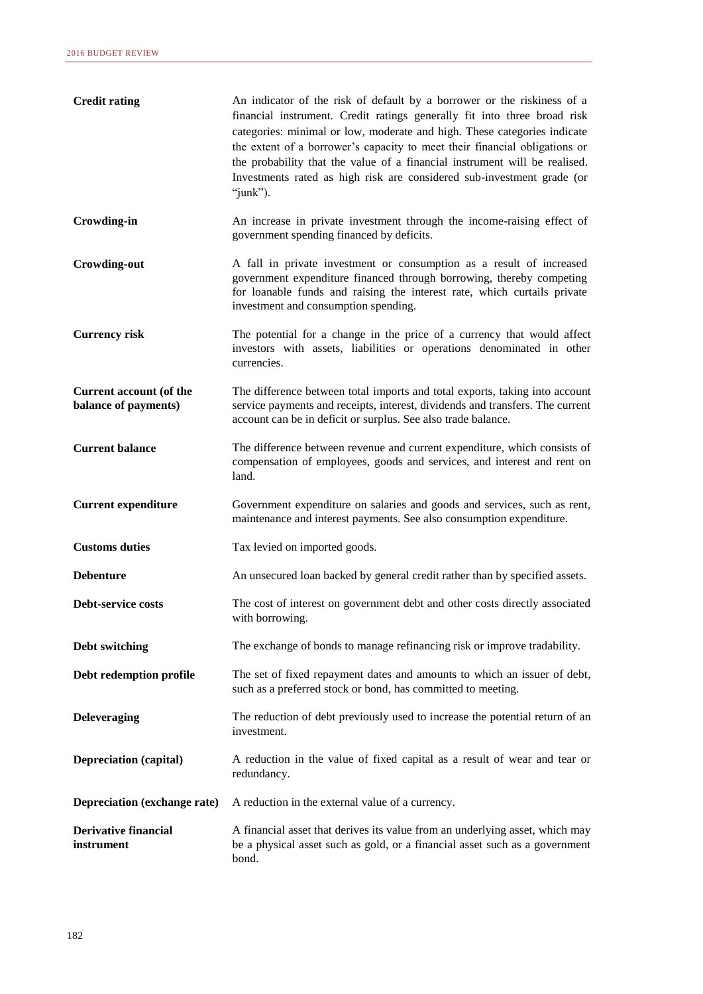| <b>Credit rating</b>                            | An indicator of the risk of default by a borrower or the riskiness of a<br>financial instrument. Credit ratings generally fit into three broad risk<br>categories: minimal or low, moderate and high. These categories indicate<br>the extent of a borrower's capacity to meet their financial obligations or<br>the probability that the value of a financial instrument will be realised.<br>Investments rated as high risk are considered sub-investment grade (or<br>"junk"). |
|-------------------------------------------------|-----------------------------------------------------------------------------------------------------------------------------------------------------------------------------------------------------------------------------------------------------------------------------------------------------------------------------------------------------------------------------------------------------------------------------------------------------------------------------------|
| <b>Crowding-in</b>                              | An increase in private investment through the income-raising effect of<br>government spending financed by deficits.                                                                                                                                                                                                                                                                                                                                                               |
| <b>Crowding-out</b>                             | A fall in private investment or consumption as a result of increased<br>government expenditure financed through borrowing, thereby competing<br>for loanable funds and raising the interest rate, which curtails private<br>investment and consumption spending.                                                                                                                                                                                                                  |
| <b>Currency risk</b>                            | The potential for a change in the price of a currency that would affect<br>investors with assets, liabilities or operations denominated in other<br>currencies.                                                                                                                                                                                                                                                                                                                   |
| Current account (of the<br>balance of payments) | The difference between total imports and total exports, taking into account<br>service payments and receipts, interest, dividends and transfers. The current<br>account can be in deficit or surplus. See also trade balance.                                                                                                                                                                                                                                                     |
| <b>Current balance</b>                          | The difference between revenue and current expenditure, which consists of<br>compensation of employees, goods and services, and interest and rent on<br>land.                                                                                                                                                                                                                                                                                                                     |
| <b>Current expenditure</b>                      | Government expenditure on salaries and goods and services, such as rent,<br>maintenance and interest payments. See also consumption expenditure.                                                                                                                                                                                                                                                                                                                                  |
| <b>Customs duties</b>                           | Tax levied on imported goods.                                                                                                                                                                                                                                                                                                                                                                                                                                                     |
| <b>Debenture</b>                                | An unsecured loan backed by general credit rather than by specified assets.                                                                                                                                                                                                                                                                                                                                                                                                       |
| Debt-service costs                              | The cost of interest on government debt and other costs directly associated<br>with borrowing.                                                                                                                                                                                                                                                                                                                                                                                    |
| Debt switching                                  | The exchange of bonds to manage refinancing risk or improve tradability.                                                                                                                                                                                                                                                                                                                                                                                                          |
| Debt redemption profile                         | The set of fixed repayment dates and amounts to which an issuer of debt,<br>such as a preferred stock or bond, has committed to meeting.                                                                                                                                                                                                                                                                                                                                          |
| <b>Deleveraging</b>                             | The reduction of debt previously used to increase the potential return of an<br>investment.                                                                                                                                                                                                                                                                                                                                                                                       |
| <b>Depreciation (capital)</b>                   | A reduction in the value of fixed capital as a result of wear and tear or<br>redundancy.                                                                                                                                                                                                                                                                                                                                                                                          |
| Depreciation (exchange rate)                    | A reduction in the external value of a currency.                                                                                                                                                                                                                                                                                                                                                                                                                                  |
| <b>Derivative financial</b><br>instrument       | A financial asset that derives its value from an underlying asset, which may<br>be a physical asset such as gold, or a financial asset such as a government<br>bond.                                                                                                                                                                                                                                                                                                              |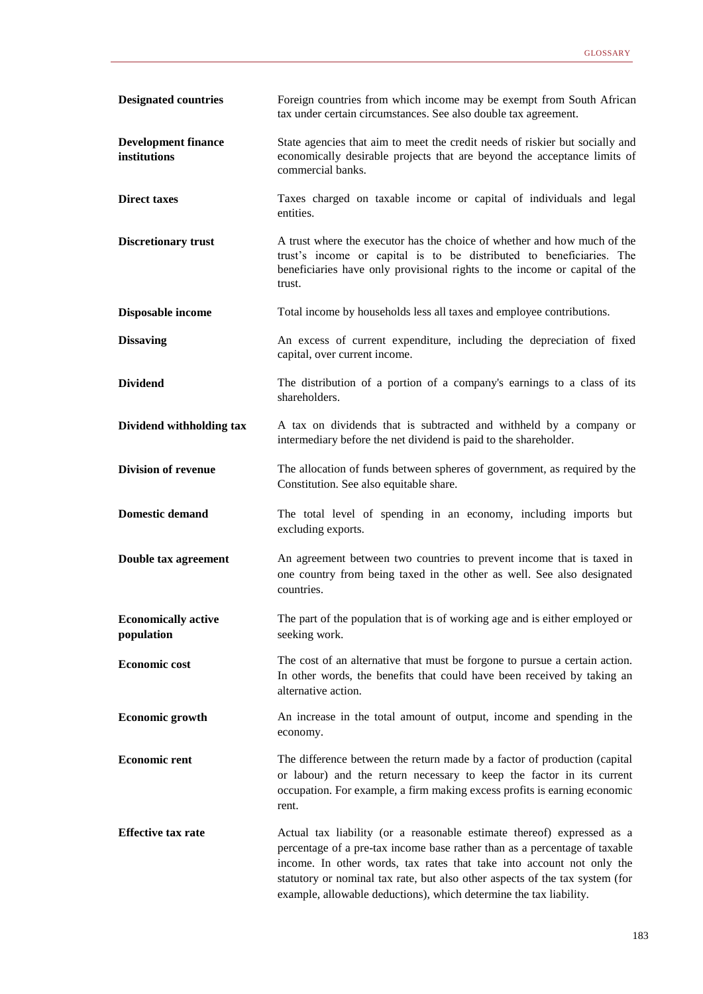| <b>Designated countries</b>                | Foreign countries from which income may be exempt from South African<br>tax under certain circumstances. See also double tax agreement.                                                                                                                                                                                                                                             |
|--------------------------------------------|-------------------------------------------------------------------------------------------------------------------------------------------------------------------------------------------------------------------------------------------------------------------------------------------------------------------------------------------------------------------------------------|
| <b>Development finance</b><br>institutions | State agencies that aim to meet the credit needs of riskier but socially and<br>economically desirable projects that are beyond the acceptance limits of<br>commercial banks.                                                                                                                                                                                                       |
| <b>Direct taxes</b>                        | Taxes charged on taxable income or capital of individuals and legal<br>entities.                                                                                                                                                                                                                                                                                                    |
| <b>Discretionary trust</b>                 | A trust where the executor has the choice of whether and how much of the<br>trust's income or capital is to be distributed to beneficiaries. The<br>beneficiaries have only provisional rights to the income or capital of the<br>trust.                                                                                                                                            |
| Disposable income                          | Total income by households less all taxes and employee contributions.                                                                                                                                                                                                                                                                                                               |
| <b>Dissaving</b>                           | An excess of current expenditure, including the depreciation of fixed<br>capital, over current income.                                                                                                                                                                                                                                                                              |
| <b>Dividend</b>                            | The distribution of a portion of a company's earnings to a class of its<br>shareholders.                                                                                                                                                                                                                                                                                            |
| Dividend withholding tax                   | A tax on dividends that is subtracted and withheld by a company or<br>intermediary before the net dividend is paid to the shareholder.                                                                                                                                                                                                                                              |
| <b>Division of revenue</b>                 | The allocation of funds between spheres of government, as required by the<br>Constitution. See also equitable share.                                                                                                                                                                                                                                                                |
| <b>Domestic demand</b>                     | The total level of spending in an economy, including imports but<br>excluding exports.                                                                                                                                                                                                                                                                                              |
| Double tax agreement                       | An agreement between two countries to prevent income that is taxed in<br>one country from being taxed in the other as well. See also designated<br>countries.                                                                                                                                                                                                                       |
| <b>Economically active</b><br>population   | The part of the population that is of working age and is either employed or<br>seeking work.                                                                                                                                                                                                                                                                                        |
| <b>Economic cost</b>                       | The cost of an alternative that must be forgone to pursue a certain action.<br>In other words, the benefits that could have been received by taking an<br>alternative action.                                                                                                                                                                                                       |
| <b>Economic growth</b>                     | An increase in the total amount of output, income and spending in the<br>economy.                                                                                                                                                                                                                                                                                                   |
| <b>Economic rent</b>                       | The difference between the return made by a factor of production (capital<br>or labour) and the return necessary to keep the factor in its current<br>occupation. For example, a firm making excess profits is earning economic<br>rent.                                                                                                                                            |
| <b>Effective tax rate</b>                  | Actual tax liability (or a reasonable estimate thereof) expressed as a<br>percentage of a pre-tax income base rather than as a percentage of taxable<br>income. In other words, tax rates that take into account not only the<br>statutory or nominal tax rate, but also other aspects of the tax system (for<br>example, allowable deductions), which determine the tax liability. |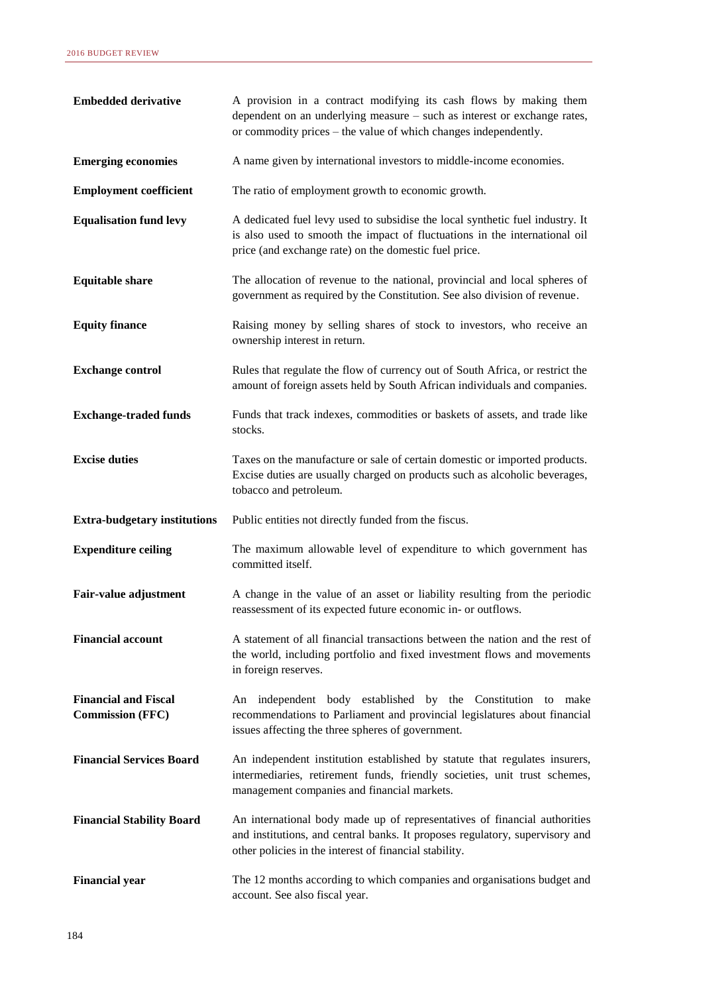| <b>Embedded derivative</b>                             | A provision in a contract modifying its cash flows by making them<br>dependent on an underlying measure – such as interest or exchange rates,<br>or commodity prices – the value of which changes independently.     |
|--------------------------------------------------------|----------------------------------------------------------------------------------------------------------------------------------------------------------------------------------------------------------------------|
| <b>Emerging economies</b>                              | A name given by international investors to middle-income economies.                                                                                                                                                  |
| <b>Employment coefficient</b>                          | The ratio of employment growth to economic growth.                                                                                                                                                                   |
| <b>Equalisation fund levy</b>                          | A dedicated fuel levy used to subsidise the local synthetic fuel industry. It<br>is also used to smooth the impact of fluctuations in the international oil<br>price (and exchange rate) on the domestic fuel price. |
| <b>Equitable share</b>                                 | The allocation of revenue to the national, provincial and local spheres of<br>government as required by the Constitution. See also division of revenue.                                                              |
| <b>Equity finance</b>                                  | Raising money by selling shares of stock to investors, who receive an<br>ownership interest in return.                                                                                                               |
| <b>Exchange control</b>                                | Rules that regulate the flow of currency out of South Africa, or restrict the<br>amount of foreign assets held by South African individuals and companies.                                                           |
| <b>Exchange-traded funds</b>                           | Funds that track indexes, commodities or baskets of assets, and trade like<br>stocks.                                                                                                                                |
| <b>Excise duties</b>                                   | Taxes on the manufacture or sale of certain domestic or imported products.<br>Excise duties are usually charged on products such as alcoholic beverages,<br>tobacco and petroleum.                                   |
| <b>Extra-budgetary institutions</b>                    | Public entities not directly funded from the fiscus.                                                                                                                                                                 |
| <b>Expenditure ceiling</b>                             | The maximum allowable level of expenditure to which government has<br>committed itself.                                                                                                                              |
| <b>Fair-value adjustment</b>                           | A change in the value of an asset or liability resulting from the periodic<br>reassessment of its expected future economic in- or outflows.                                                                          |
| <b>Financial account</b>                               | A statement of all financial transactions between the nation and the rest of                                                                                                                                         |
|                                                        | the world, including portfolio and fixed investment flows and movements<br>in foreign reserves.                                                                                                                      |
| <b>Financial and Fiscal</b><br><b>Commission (FFC)</b> | An independent body established by the Constitution to make<br>recommendations to Parliament and provincial legislatures about financial<br>issues affecting the three spheres of government.                        |
| <b>Financial Services Board</b>                        | An independent institution established by statute that regulates insurers,<br>intermediaries, retirement funds, friendly societies, unit trust schemes,<br>management companies and financial markets.               |
| <b>Financial Stability Board</b>                       | An international body made up of representatives of financial authorities<br>and institutions, and central banks. It proposes regulatory, supervisory and<br>other policies in the interest of financial stability.  |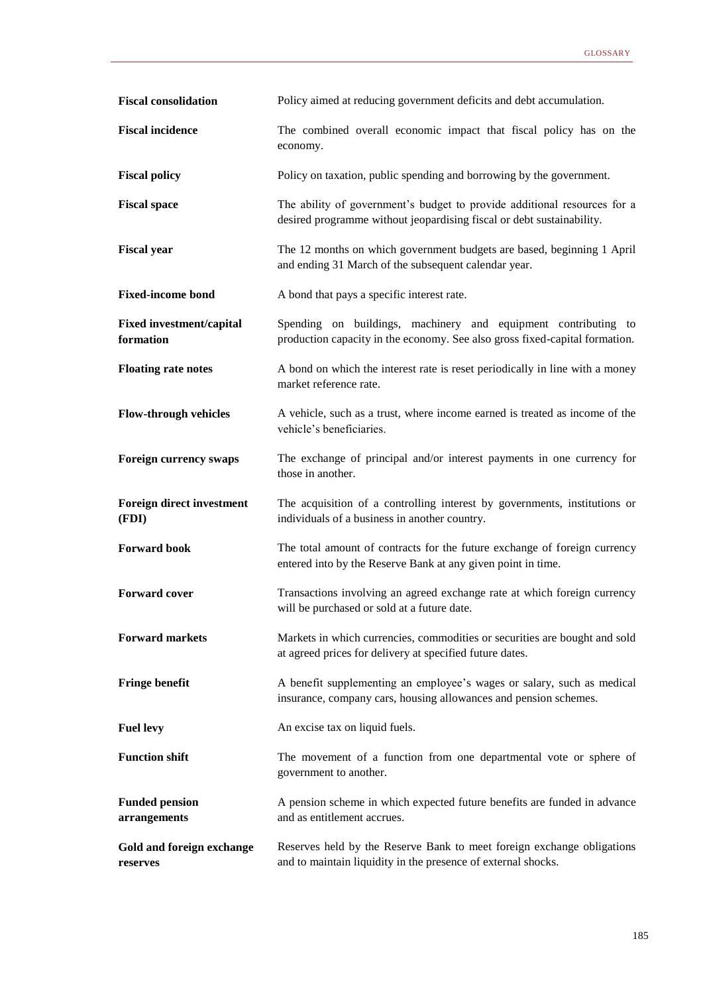| <b>Fiscal consolidation</b>                  | Policy aimed at reducing government deficits and debt accumulation.                                                                               |
|----------------------------------------------|---------------------------------------------------------------------------------------------------------------------------------------------------|
| <b>Fiscal incidence</b>                      | The combined overall economic impact that fiscal policy has on the<br>economy.                                                                    |
| <b>Fiscal policy</b>                         | Policy on taxation, public spending and borrowing by the government.                                                                              |
| <b>Fiscal space</b>                          | The ability of government's budget to provide additional resources for a<br>desired programme without jeopardising fiscal or debt sustainability. |
| <b>Fiscal year</b>                           | The 12 months on which government budgets are based, beginning 1 April<br>and ending 31 March of the subsequent calendar year.                    |
| <b>Fixed-income bond</b>                     | A bond that pays a specific interest rate.                                                                                                        |
| <b>Fixed investment/capital</b><br>formation | Spending on buildings, machinery and equipment contributing to<br>production capacity in the economy. See also gross fixed-capital formation.     |
| <b>Floating rate notes</b>                   | A bond on which the interest rate is reset periodically in line with a money<br>market reference rate.                                            |
| <b>Flow-through vehicles</b>                 | A vehicle, such as a trust, where income earned is treated as income of the<br>vehicle's beneficiaries.                                           |
| <b>Foreign currency swaps</b>                | The exchange of principal and/or interest payments in one currency for<br>those in another.                                                       |
| <b>Foreign direct investment</b><br>(FDI)    | The acquisition of a controlling interest by governments, institutions or<br>individuals of a business in another country.                        |
| <b>Forward book</b>                          | The total amount of contracts for the future exchange of foreign currency<br>entered into by the Reserve Bank at any given point in time.         |
| <b>Forward cover</b>                         | Transactions involving an agreed exchange rate at which foreign currency<br>will be purchased or sold at a future date.                           |
| <b>Forward markets</b>                       | Markets in which currencies, commodities or securities are bought and sold<br>at agreed prices for delivery at specified future dates.            |
| <b>Fringe benefit</b>                        | A benefit supplementing an employee's wages or salary, such as medical<br>insurance, company cars, housing allowances and pension schemes.        |
| <b>Fuel levy</b>                             | An excise tax on liquid fuels.                                                                                                                    |
| <b>Function shift</b>                        | The movement of a function from one departmental vote or sphere of<br>government to another.                                                      |
| <b>Funded pension</b><br>arrangements        | A pension scheme in which expected future benefits are funded in advance<br>and as entitlement accrues.                                           |
| Gold and foreign exchange<br>reserves        | Reserves held by the Reserve Bank to meet foreign exchange obligations<br>and to maintain liquidity in the presence of external shocks.           |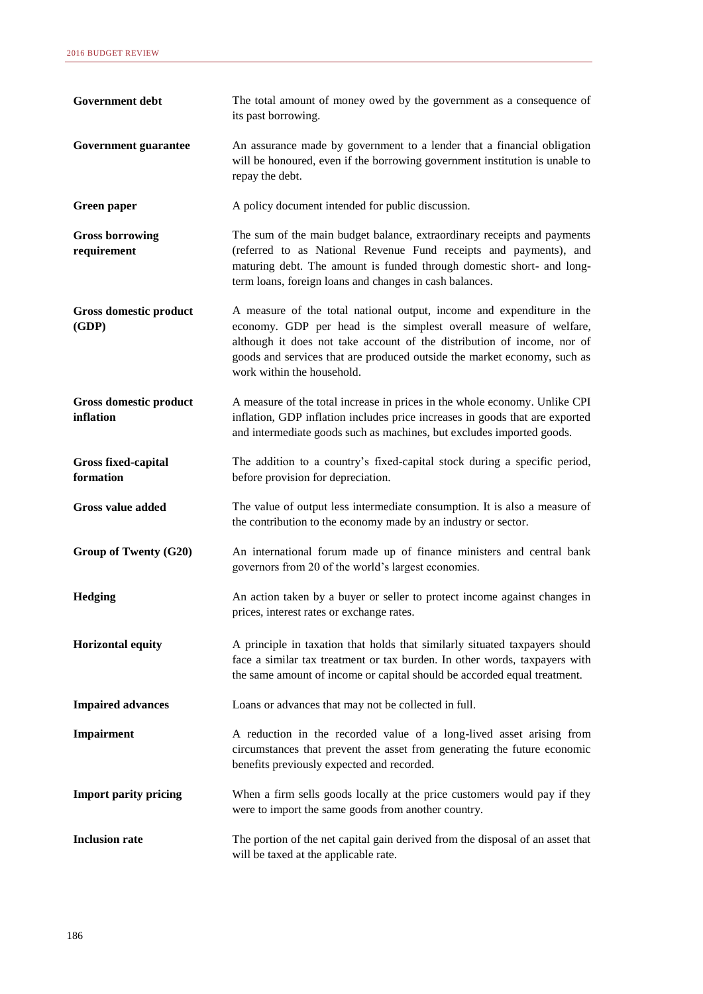| Government debt                         | The total amount of money owed by the government as a consequence of<br>its past borrowing.                                                                                                                                                                                                                                     |
|-----------------------------------------|---------------------------------------------------------------------------------------------------------------------------------------------------------------------------------------------------------------------------------------------------------------------------------------------------------------------------------|
| <b>Government guarantee</b>             | An assurance made by government to a lender that a financial obligation<br>will be honoured, even if the borrowing government institution is unable to<br>repay the debt.                                                                                                                                                       |
| <b>Green paper</b>                      | A policy document intended for public discussion.                                                                                                                                                                                                                                                                               |
| <b>Gross borrowing</b><br>requirement   | The sum of the main budget balance, extraordinary receipts and payments<br>(referred to as National Revenue Fund receipts and payments), and<br>maturing debt. The amount is funded through domestic short- and long-<br>term loans, foreign loans and changes in cash balances.                                                |
| Gross domestic product<br>(GDP)         | A measure of the total national output, income and expenditure in the<br>economy. GDP per head is the simplest overall measure of welfare,<br>although it does not take account of the distribution of income, nor of<br>goods and services that are produced outside the market economy, such as<br>work within the household. |
| Gross domestic product<br>inflation     | A measure of the total increase in prices in the whole economy. Unlike CPI<br>inflation, GDP inflation includes price increases in goods that are exported<br>and intermediate goods such as machines, but excludes imported goods.                                                                                             |
| <b>Gross fixed-capital</b><br>formation | The addition to a country's fixed-capital stock during a specific period,<br>before provision for depreciation.                                                                                                                                                                                                                 |
| <b>Gross value added</b>                | The value of output less intermediate consumption. It is also a measure of<br>the contribution to the economy made by an industry or sector.                                                                                                                                                                                    |
| Group of Twenty (G20)                   | An international forum made up of finance ministers and central bank<br>governors from 20 of the world's largest economies.                                                                                                                                                                                                     |
| Hedging                                 | An action taken by a buyer or seller to protect income against changes in<br>prices, interest rates or exchange rates.                                                                                                                                                                                                          |
| <b>Horizontal equity</b>                | A principle in taxation that holds that similarly situated taxpayers should<br>face a similar tax treatment or tax burden. In other words, taxpayers with<br>the same amount of income or capital should be accorded equal treatment.                                                                                           |
| <b>Impaired advances</b>                | Loans or advances that may not be collected in full.                                                                                                                                                                                                                                                                            |
| Impairment                              | A reduction in the recorded value of a long-lived asset arising from<br>circumstances that prevent the asset from generating the future economic<br>benefits previously expected and recorded.                                                                                                                                  |
| <b>Import parity pricing</b>            | When a firm sells goods locally at the price customers would pay if they<br>were to import the same goods from another country.                                                                                                                                                                                                 |
| <b>Inclusion rate</b>                   | The portion of the net capital gain derived from the disposal of an asset that<br>will be taxed at the applicable rate.                                                                                                                                                                                                         |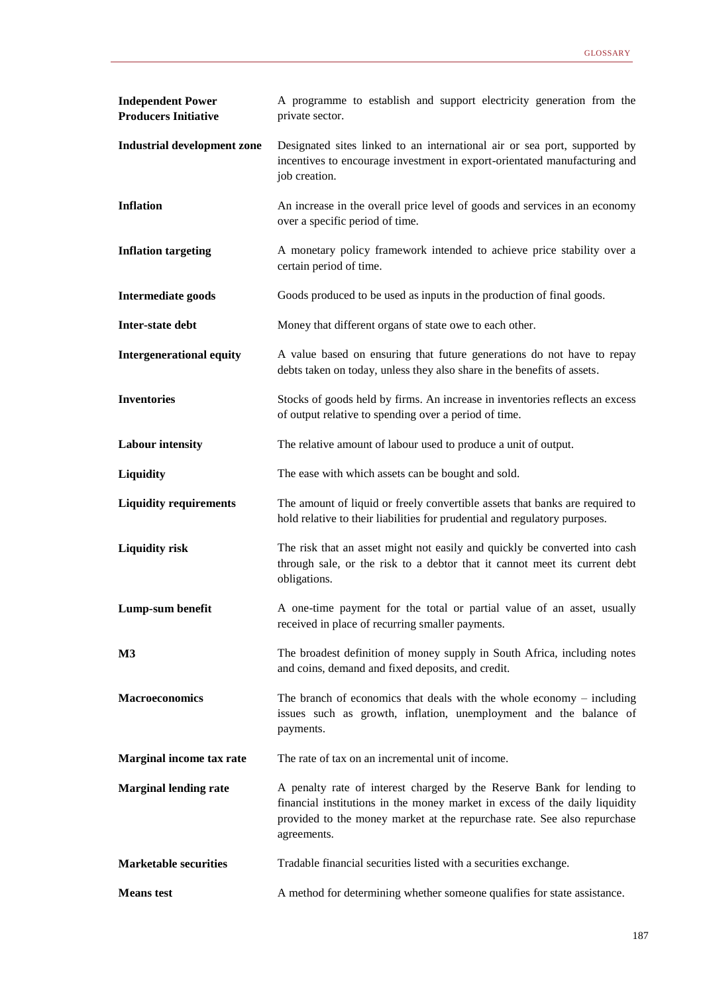| <b>Independent Power</b><br><b>Producers Initiative</b> | A programme to establish and support electricity generation from the<br>private sector.                                                                                                                                                         |
|---------------------------------------------------------|-------------------------------------------------------------------------------------------------------------------------------------------------------------------------------------------------------------------------------------------------|
| <b>Industrial development zone</b>                      | Designated sites linked to an international air or sea port, supported by<br>incentives to encourage investment in export-orientated manufacturing and<br>job creation.                                                                         |
| <b>Inflation</b>                                        | An increase in the overall price level of goods and services in an economy<br>over a specific period of time.                                                                                                                                   |
| <b>Inflation targeting</b>                              | A monetary policy framework intended to achieve price stability over a<br>certain period of time.                                                                                                                                               |
| <b>Intermediate goods</b>                               | Goods produced to be used as inputs in the production of final goods.                                                                                                                                                                           |
| Inter-state debt                                        | Money that different organs of state owe to each other.                                                                                                                                                                                         |
| <b>Intergenerational equity</b>                         | A value based on ensuring that future generations do not have to repay<br>debts taken on today, unless they also share in the benefits of assets.                                                                                               |
| <b>Inventories</b>                                      | Stocks of goods held by firms. An increase in inventories reflects an excess<br>of output relative to spending over a period of time.                                                                                                           |
| <b>Labour intensity</b>                                 | The relative amount of labour used to produce a unit of output.                                                                                                                                                                                 |
| Liquidity                                               | The ease with which assets can be bought and sold.                                                                                                                                                                                              |
| <b>Liquidity requirements</b>                           | The amount of liquid or freely convertible assets that banks are required to<br>hold relative to their liabilities for prudential and regulatory purposes.                                                                                      |
| <b>Liquidity risk</b>                                   | The risk that an asset might not easily and quickly be converted into cash<br>through sale, or the risk to a debtor that it cannot meet its current debt<br>obligations.                                                                        |
| Lump-sum benefit                                        | A one-time payment for the total or partial value of an asset, usually<br>received in place of recurring smaller payments.                                                                                                                      |
| $\mathbf{M}3$                                           | The broadest definition of money supply in South Africa, including notes<br>and coins, demand and fixed deposits, and credit.                                                                                                                   |
| <b>Macroeconomics</b>                                   | The branch of economics that deals with the whole economy $-$ including<br>issues such as growth, inflation, unemployment and the balance of<br>payments.                                                                                       |
| Marginal income tax rate                                | The rate of tax on an incremental unit of income.                                                                                                                                                                                               |
| <b>Marginal lending rate</b>                            | A penalty rate of interest charged by the Reserve Bank for lending to<br>financial institutions in the money market in excess of the daily liquidity<br>provided to the money market at the repurchase rate. See also repurchase<br>agreements. |
| <b>Marketable securities</b>                            | Tradable financial securities listed with a securities exchange.                                                                                                                                                                                |
| <b>Means</b> test                                       | A method for determining whether someone qualifies for state assistance.                                                                                                                                                                        |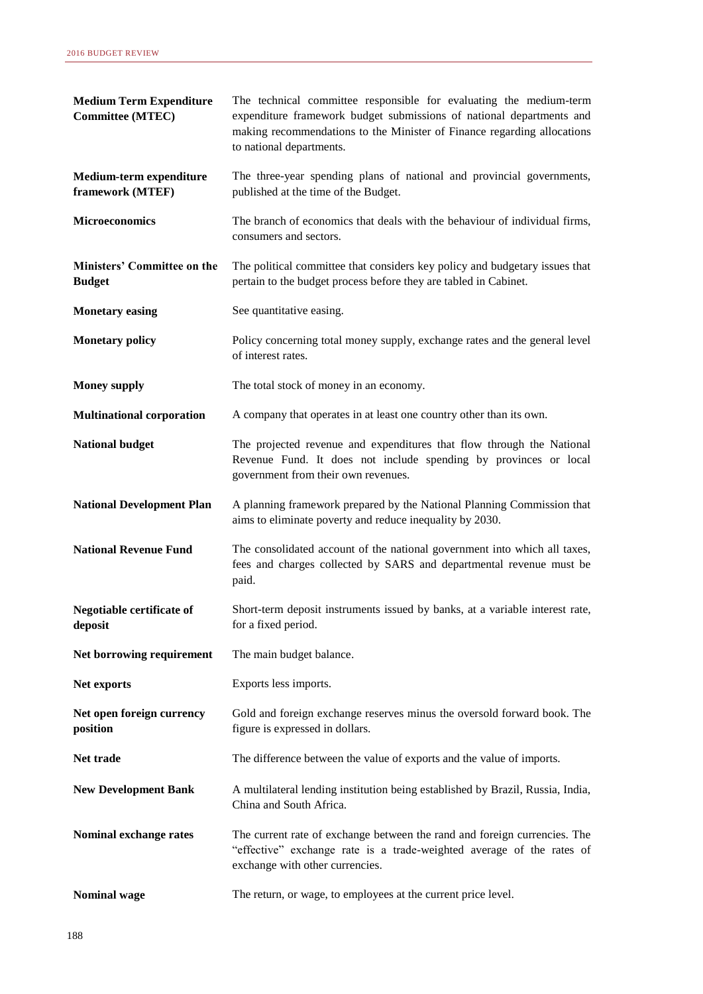| <b>Medium Term Expenditure</b><br><b>Committee (MTEC)</b> | The technical committee responsible for evaluating the medium-term<br>expenditure framework budget submissions of national departments and<br>making recommendations to the Minister of Finance regarding allocations<br>to national departments. |
|-----------------------------------------------------------|---------------------------------------------------------------------------------------------------------------------------------------------------------------------------------------------------------------------------------------------------|
| Medium-term expenditure<br>framework (MTEF)               | The three-year spending plans of national and provincial governments,<br>published at the time of the Budget.                                                                                                                                     |
| <b>Microeconomics</b>                                     | The branch of economics that deals with the behaviour of individual firms,<br>consumers and sectors.                                                                                                                                              |
| Ministers' Committee on the<br><b>Budget</b>              | The political committee that considers key policy and budgetary issues that<br>pertain to the budget process before they are tabled in Cabinet.                                                                                                   |
| <b>Monetary easing</b>                                    | See quantitative easing.                                                                                                                                                                                                                          |
| <b>Monetary policy</b>                                    | Policy concerning total money supply, exchange rates and the general level<br>of interest rates.                                                                                                                                                  |
| <b>Money supply</b>                                       | The total stock of money in an economy.                                                                                                                                                                                                           |
| <b>Multinational corporation</b>                          | A company that operates in at least one country other than its own.                                                                                                                                                                               |
| <b>National budget</b>                                    | The projected revenue and expenditures that flow through the National<br>Revenue Fund. It does not include spending by provinces or local<br>government from their own revenues.                                                                  |
| <b>National Development Plan</b>                          | A planning framework prepared by the National Planning Commission that<br>aims to eliminate poverty and reduce inequality by 2030.                                                                                                                |
| <b>National Revenue Fund</b>                              | The consolidated account of the national government into which all taxes,<br>fees and charges collected by SARS and departmental revenue must be<br>paid.                                                                                         |
| Negotiable certificate of<br>deposit                      | Short-term deposit instruments issued by banks, at a variable interest rate,<br>for a fixed period.                                                                                                                                               |
| Net borrowing requirement                                 | The main budget balance.                                                                                                                                                                                                                          |
| Net exports                                               | Exports less imports.                                                                                                                                                                                                                             |
| Net open foreign currency<br>position                     | Gold and foreign exchange reserves minus the oversold forward book. The<br>figure is expressed in dollars.                                                                                                                                        |
| Net trade                                                 | The difference between the value of exports and the value of imports.                                                                                                                                                                             |
| <b>New Development Bank</b>                               | A multilateral lending institution being established by Brazil, Russia, India,<br>China and South Africa.                                                                                                                                         |
| Nominal exchange rates                                    | The current rate of exchange between the rand and foreign currencies. The<br>"effective" exchange rate is a trade-weighted average of the rates of<br>exchange with other currencies.                                                             |
| <b>Nominal wage</b>                                       | The return, or wage, to employees at the current price level.                                                                                                                                                                                     |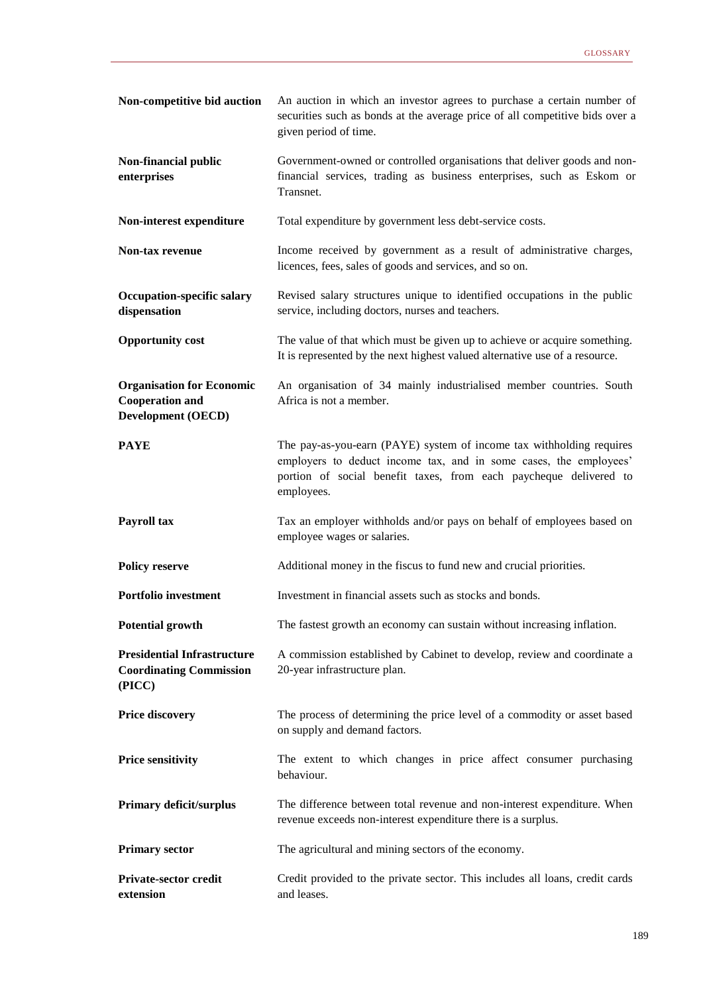| Non-competitive bid auction                                                             | An auction in which an investor agrees to purchase a certain number of<br>securities such as bonds at the average price of all competitive bids over a<br>given period of time.                                              |
|-----------------------------------------------------------------------------------------|------------------------------------------------------------------------------------------------------------------------------------------------------------------------------------------------------------------------------|
| Non-financial public<br>enterprises                                                     | Government-owned or controlled organisations that deliver goods and non-<br>financial services, trading as business enterprises, such as Eskom or<br>Transnet.                                                               |
| Non-interest expenditure                                                                | Total expenditure by government less debt-service costs.                                                                                                                                                                     |
| <b>Non-tax revenue</b>                                                                  | Income received by government as a result of administrative charges,<br>licences, fees, sales of goods and services, and so on.                                                                                              |
| <b>Occupation-specific salary</b><br>dispensation                                       | Revised salary structures unique to identified occupations in the public<br>service, including doctors, nurses and teachers.                                                                                                 |
| <b>Opportunity cost</b>                                                                 | The value of that which must be given up to achieve or acquire something.<br>It is represented by the next highest valued alternative use of a resource.                                                                     |
| <b>Organisation for Economic</b><br><b>Cooperation and</b><br><b>Development (OECD)</b> | An organisation of 34 mainly industrialised member countries. South<br>Africa is not a member.                                                                                                                               |
| <b>PAYE</b>                                                                             | The pay-as-you-earn (PAYE) system of income tax withholding requires<br>employers to deduct income tax, and in some cases, the employees'<br>portion of social benefit taxes, from each paycheque delivered to<br>employees. |
| Payroll tax                                                                             | Tax an employer withholds and/or pays on behalf of employees based on<br>employee wages or salaries.                                                                                                                         |
| <b>Policy reserve</b>                                                                   | Additional money in the fiscus to fund new and crucial priorities.                                                                                                                                                           |
| <b>Portfolio investment</b>                                                             | Investment in financial assets such as stocks and bonds.                                                                                                                                                                     |
| <b>Potential growth</b>                                                                 | The fastest growth an economy can sustain without increasing inflation.                                                                                                                                                      |
| <b>Presidential Infrastructure</b><br><b>Coordinating Commission</b><br>(PICC)          | A commission established by Cabinet to develop, review and coordinate a<br>20-year infrastructure plan.                                                                                                                      |
| <b>Price discovery</b>                                                                  | The process of determining the price level of a commodity or asset based<br>on supply and demand factors.                                                                                                                    |
| <b>Price sensitivity</b>                                                                | The extent to which changes in price affect consumer purchasing<br>behaviour.                                                                                                                                                |
| Primary deficit/surplus                                                                 | The difference between total revenue and non-interest expenditure. When<br>revenue exceeds non-interest expenditure there is a surplus.                                                                                      |
| <b>Primary sector</b>                                                                   | The agricultural and mining sectors of the economy.                                                                                                                                                                          |
| Private-sector credit<br>extension                                                      | Credit provided to the private sector. This includes all loans, credit cards<br>and leases.                                                                                                                                  |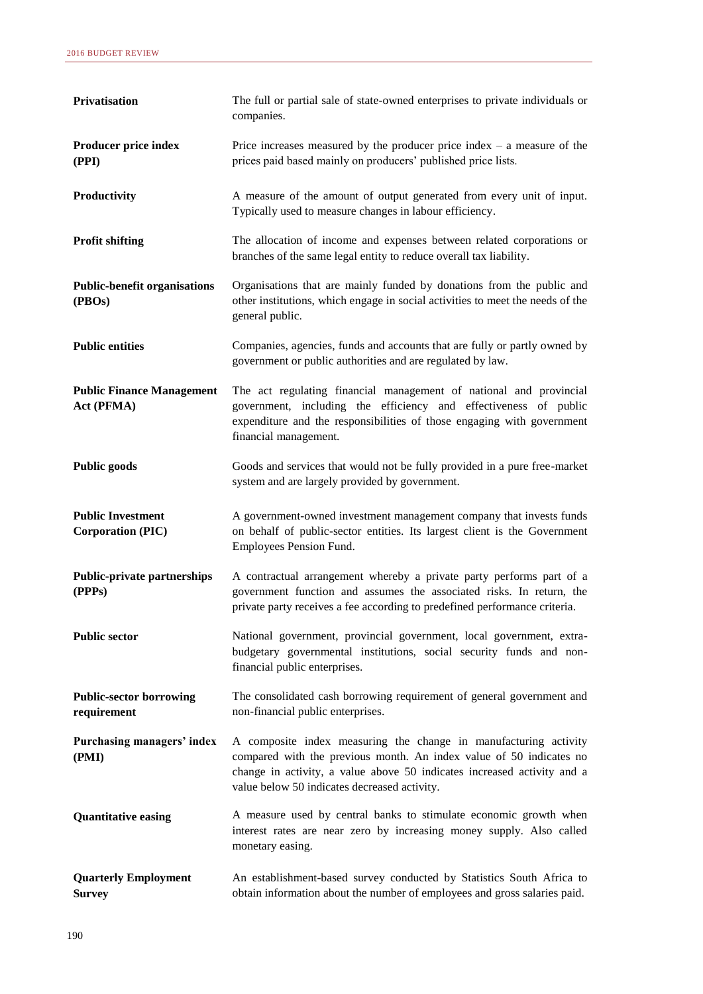| Privatisation                                        | The full or partial sale of state-owned enterprises to private individuals or<br>companies.                                                                                                                                                                        |
|------------------------------------------------------|--------------------------------------------------------------------------------------------------------------------------------------------------------------------------------------------------------------------------------------------------------------------|
| Producer price index<br>(PPI)                        | Price increases measured by the producer price index $-$ a measure of the<br>prices paid based mainly on producers' published price lists.                                                                                                                         |
| Productivity                                         | A measure of the amount of output generated from every unit of input.<br>Typically used to measure changes in labour efficiency.                                                                                                                                   |
| <b>Profit shifting</b>                               | The allocation of income and expenses between related corporations or<br>branches of the same legal entity to reduce overall tax liability.                                                                                                                        |
| <b>Public-benefit organisations</b><br>(PBOs)        | Organisations that are mainly funded by donations from the public and<br>other institutions, which engage in social activities to meet the needs of the<br>general public.                                                                                         |
| <b>Public entities</b>                               | Companies, agencies, funds and accounts that are fully or partly owned by<br>government or public authorities and are regulated by law.                                                                                                                            |
| <b>Public Finance Management</b><br>Act (PFMA)       | The act regulating financial management of national and provincial<br>government, including the efficiency and effectiveness of public<br>expenditure and the responsibilities of those engaging with government<br>financial management.                          |
| <b>Public goods</b>                                  | Goods and services that would not be fully provided in a pure free-market<br>system and are largely provided by government.                                                                                                                                        |
| <b>Public Investment</b><br><b>Corporation (PIC)</b> | A government-owned investment management company that invests funds<br>on behalf of public-sector entities. Its largest client is the Government<br>Employees Pension Fund.                                                                                        |
| <b>Public-private partnerships</b><br>(PPPs)         | A contractual arrangement whereby a private party performs part of a<br>government function and assumes the associated risks. In return, the<br>private party receives a fee according to predefined performance criteria.                                         |
| <b>Public sector</b>                                 | National government, provincial government, local government, extra-<br>budgetary governmental institutions, social security funds and non-<br>financial public enterprises.                                                                                       |
| <b>Public-sector borrowing</b><br>requirement        | The consolidated cash borrowing requirement of general government and<br>non-financial public enterprises.                                                                                                                                                         |
| Purchasing managers' index<br>(PMI)                  | A composite index measuring the change in manufacturing activity<br>compared with the previous month. An index value of 50 indicates no<br>change in activity, a value above 50 indicates increased activity and a<br>value below 50 indicates decreased activity. |
| <b>Quantitative easing</b>                           | A measure used by central banks to stimulate economic growth when<br>interest rates are near zero by increasing money supply. Also called<br>monetary easing.                                                                                                      |
| <b>Quarterly Employment</b><br><b>Survey</b>         | An establishment-based survey conducted by Statistics South Africa to<br>obtain information about the number of employees and gross salaries paid.                                                                                                                 |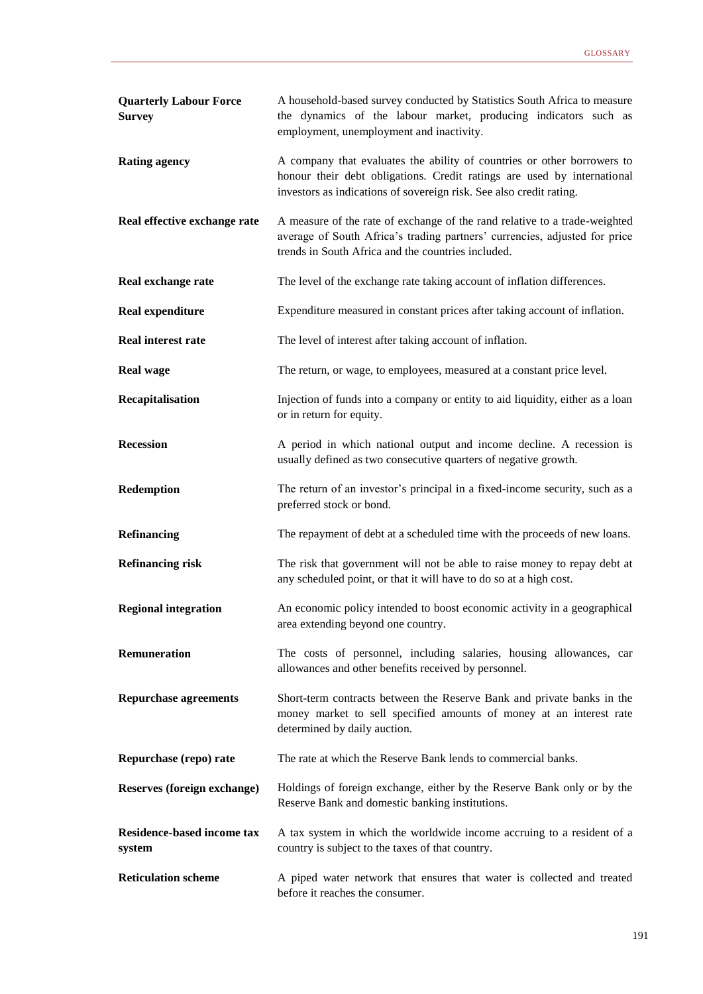| <b>Quarterly Labour Force</b><br><b>Survey</b> | A household-based survey conducted by Statistics South Africa to measure<br>the dynamics of the labour market, producing indicators such as<br>employment, unemployment and inactivity.                                   |
|------------------------------------------------|---------------------------------------------------------------------------------------------------------------------------------------------------------------------------------------------------------------------------|
| <b>Rating agency</b>                           | A company that evaluates the ability of countries or other borrowers to<br>honour their debt obligations. Credit ratings are used by international<br>investors as indications of sovereign risk. See also credit rating. |
| Real effective exchange rate                   | A measure of the rate of exchange of the rand relative to a trade-weighted<br>average of South Africa's trading partners' currencies, adjusted for price<br>trends in South Africa and the countries included.            |
| Real exchange rate                             | The level of the exchange rate taking account of inflation differences.                                                                                                                                                   |
| <b>Real expenditure</b>                        | Expenditure measured in constant prices after taking account of inflation.                                                                                                                                                |
| <b>Real interest rate</b>                      | The level of interest after taking account of inflation.                                                                                                                                                                  |
| <b>Real wage</b>                               | The return, or wage, to employees, measured at a constant price level.                                                                                                                                                    |
| Recapitalisation                               | Injection of funds into a company or entity to aid liquidity, either as a loan<br>or in return for equity.                                                                                                                |
| <b>Recession</b>                               | A period in which national output and income decline. A recession is<br>usually defined as two consecutive quarters of negative growth.                                                                                   |
| Redemption                                     | The return of an investor's principal in a fixed-income security, such as a<br>preferred stock or bond.                                                                                                                   |
| <b>Refinancing</b>                             | The repayment of debt at a scheduled time with the proceeds of new loans.                                                                                                                                                 |
| <b>Refinancing risk</b>                        | The risk that government will not be able to raise money to repay debt at<br>any scheduled point, or that it will have to do so at a high cost.                                                                           |
| <b>Regional integration</b>                    | An economic policy intended to boost economic activity in a geographical<br>area extending beyond one country.                                                                                                            |
| Remuneration                                   | The costs of personnel, including salaries, housing allowances, car<br>allowances and other benefits received by personnel.                                                                                               |
| <b>Repurchase agreements</b>                   | Short-term contracts between the Reserve Bank and private banks in the<br>money market to sell specified amounts of money at an interest rate<br>determined by daily auction.                                             |
| Repurchase (repo) rate                         | The rate at which the Reserve Bank lends to commercial banks.                                                                                                                                                             |
| Reserves (foreign exchange)                    | Holdings of foreign exchange, either by the Reserve Bank only or by the<br>Reserve Bank and domestic banking institutions.                                                                                                |
| <b>Residence-based income tax</b><br>system    | A tax system in which the worldwide income accruing to a resident of a<br>country is subject to the taxes of that country.                                                                                                |
| <b>Reticulation scheme</b>                     | A piped water network that ensures that water is collected and treated<br>before it reaches the consumer.                                                                                                                 |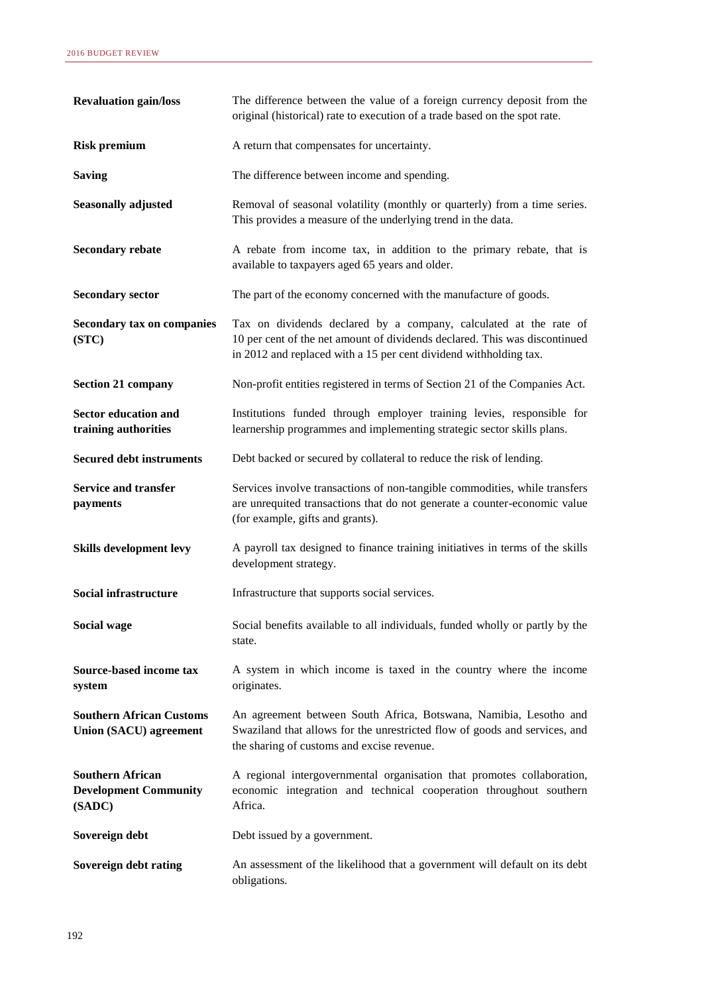| <b>Revaluation gain/loss</b>                                      | The difference between the value of a foreign currency deposit from the<br>original (historical) rate to execution of a trade based on the spot rate.                                                                |
|-------------------------------------------------------------------|----------------------------------------------------------------------------------------------------------------------------------------------------------------------------------------------------------------------|
| <b>Risk premium</b>                                               | A return that compensates for uncertainty.                                                                                                                                                                           |
| <b>Saving</b>                                                     | The difference between income and spending.                                                                                                                                                                          |
| <b>Seasonally adjusted</b>                                        | Removal of seasonal volatility (monthly or quarterly) from a time series.<br>This provides a measure of the underlying trend in the data.                                                                            |
| <b>Secondary rebate</b>                                           | A rebate from income tax, in addition to the primary rebate, that is<br>available to taxpayers aged 65 years and older.                                                                                              |
| <b>Secondary sector</b>                                           | The part of the economy concerned with the manufacture of goods.                                                                                                                                                     |
| <b>Secondary tax on companies</b><br>(STC)                        | Tax on dividends declared by a company, calculated at the rate of<br>10 per cent of the net amount of dividends declared. This was discontinued<br>in 2012 and replaced with a 15 per cent dividend withholding tax. |
| <b>Section 21 company</b>                                         | Non-profit entities registered in terms of Section 21 of the Companies Act.                                                                                                                                          |
| <b>Sector education and</b><br>training authorities               | Institutions funded through employer training levies, responsible for<br>learnership programmes and implementing strategic sector skills plans.                                                                      |
| <b>Secured debt instruments</b>                                   | Debt backed or secured by collateral to reduce the risk of lending.                                                                                                                                                  |
| <b>Service and transfer</b><br>payments                           | Services involve transactions of non-tangible commodities, while transfers<br>are unrequited transactions that do not generate a counter-economic value<br>(for example, gifts and grants).                          |
| Skills development levy                                           | A payroll tax designed to finance training initiatives in terms of the skills<br>development strategy.                                                                                                               |
| <b>Social infrastructure</b>                                      | Infrastructure that supports social services.                                                                                                                                                                        |
| Social wage                                                       | Social benefits available to all individuals, funded wholly or partly by the<br>state.                                                                                                                               |
| Source-based income tax<br>system                                 | A system in which income is taxed in the country where the income<br>originates.                                                                                                                                     |
| <b>Southern African Customs</b><br><b>Union (SACU) agreement</b>  | An agreement between South Africa, Botswana, Namibia, Lesotho and<br>Swaziland that allows for the unrestricted flow of goods and services, and<br>the sharing of customs and excise revenue.                        |
| <b>Southern African</b><br><b>Development Community</b><br>(SADC) | A regional intergovernmental organisation that promotes collaboration,<br>economic integration and technical cooperation throughout southern<br>Africa.                                                              |
| Sovereign debt                                                    | Debt issued by a government.                                                                                                                                                                                         |
| Sovereign debt rating                                             | An assessment of the likelihood that a government will default on its debt<br>obligations.                                                                                                                           |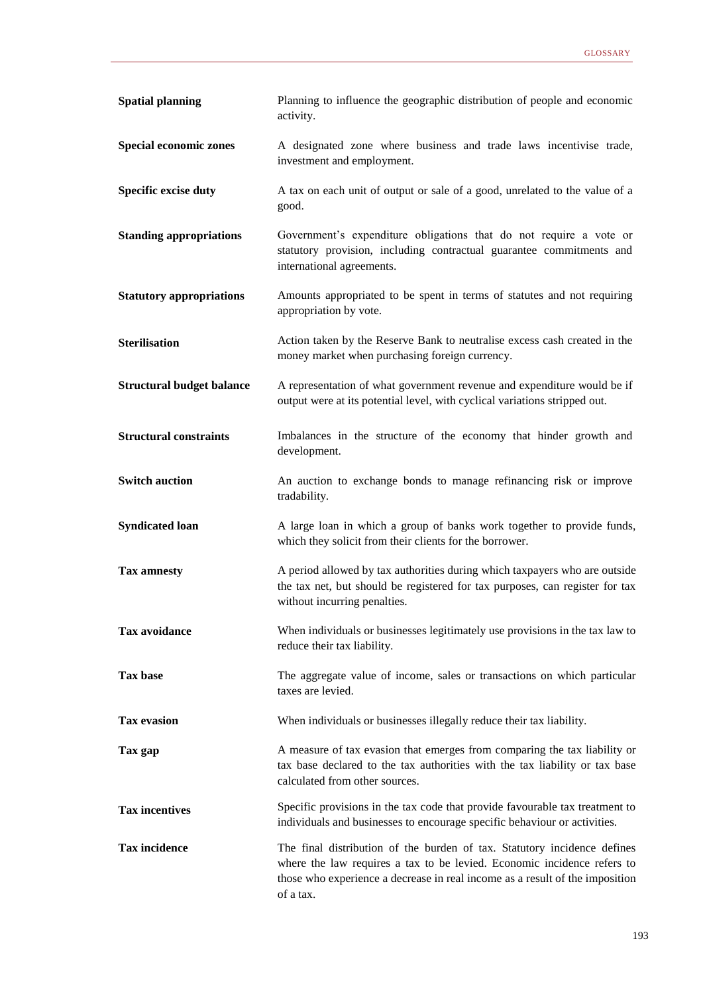| <b>Spatial planning</b>          | Planning to influence the geographic distribution of people and economic<br>activity.                                                                                                                                                            |
|----------------------------------|--------------------------------------------------------------------------------------------------------------------------------------------------------------------------------------------------------------------------------------------------|
| Special economic zones           | A designated zone where business and trade laws incentivise trade,<br>investment and employment.                                                                                                                                                 |
| <b>Specific excise duty</b>      | A tax on each unit of output or sale of a good, unrelated to the value of a<br>good.                                                                                                                                                             |
| <b>Standing appropriations</b>   | Government's expenditure obligations that do not require a vote or<br>statutory provision, including contractual guarantee commitments and<br>international agreements.                                                                          |
| <b>Statutory appropriations</b>  | Amounts appropriated to be spent in terms of statutes and not requiring<br>appropriation by vote.                                                                                                                                                |
| <b>Sterilisation</b>             | Action taken by the Reserve Bank to neutralise excess cash created in the<br>money market when purchasing foreign currency.                                                                                                                      |
| <b>Structural budget balance</b> | A representation of what government revenue and expenditure would be if<br>output were at its potential level, with cyclical variations stripped out.                                                                                            |
| <b>Structural constraints</b>    | Imbalances in the structure of the economy that hinder growth and<br>development.                                                                                                                                                                |
| <b>Switch auction</b>            | An auction to exchange bonds to manage refinancing risk or improve<br>tradability.                                                                                                                                                               |
| <b>Syndicated loan</b>           | A large loan in which a group of banks work together to provide funds,<br>which they solicit from their clients for the borrower.                                                                                                                |
| <b>Tax amnesty</b>               | A period allowed by tax authorities during which taxpayers who are outside<br>the tax net, but should be registered for tax purposes, can register for tax<br>without incurring penalties.                                                       |
| <b>Tax avoidance</b>             | When individuals or businesses legitimately use provisions in the tax law to<br>reduce their tax liability.                                                                                                                                      |
| <b>Tax base</b>                  | The aggregate value of income, sales or transactions on which particular<br>taxes are levied.                                                                                                                                                    |
| <b>Tax evasion</b>               | When individuals or businesses illegally reduce their tax liability.                                                                                                                                                                             |
| Tax gap                          | A measure of tax evasion that emerges from comparing the tax liability or<br>tax base declared to the tax authorities with the tax liability or tax base<br>calculated from other sources.                                                       |
| <b>Tax incentives</b>            | Specific provisions in the tax code that provide favourable tax treatment to<br>individuals and businesses to encourage specific behaviour or activities.                                                                                        |
| <b>Tax incidence</b>             | The final distribution of the burden of tax. Statutory incidence defines<br>where the law requires a tax to be levied. Economic incidence refers to<br>those who experience a decrease in real income as a result of the imposition<br>of a tax. |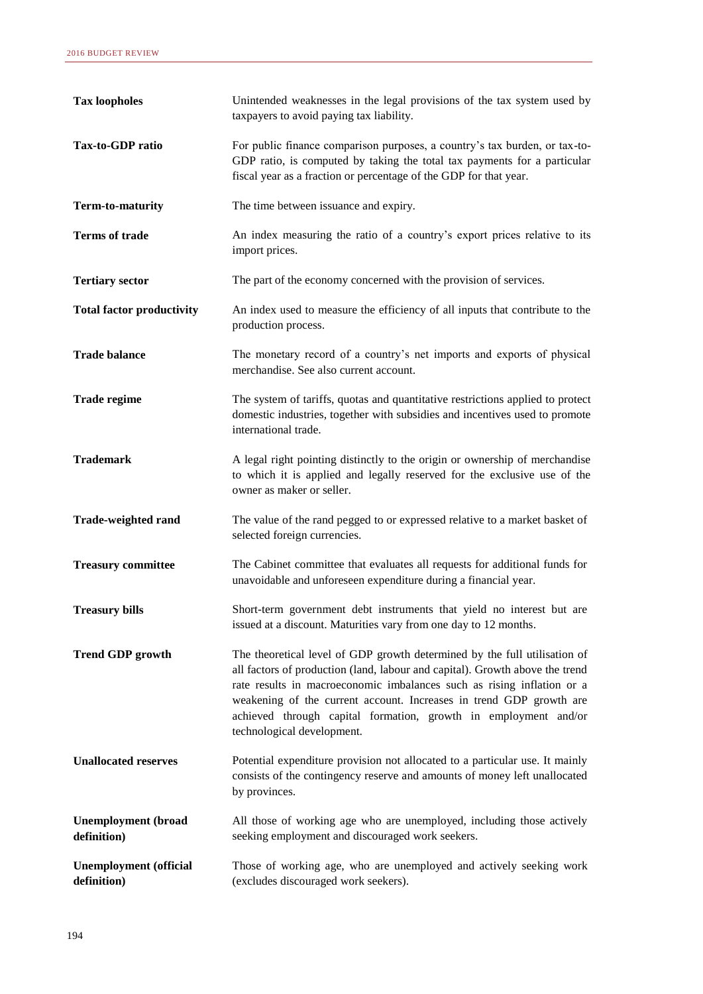| <b>Tax loopholes</b>                         | Unintended weaknesses in the legal provisions of the tax system used by<br>taxpayers to avoid paying tax liability.                                                                                                                                                                                                                                                                                         |
|----------------------------------------------|-------------------------------------------------------------------------------------------------------------------------------------------------------------------------------------------------------------------------------------------------------------------------------------------------------------------------------------------------------------------------------------------------------------|
| Tax-to-GDP ratio                             | For public finance comparison purposes, a country's tax burden, or tax-to-<br>GDP ratio, is computed by taking the total tax payments for a particular<br>fiscal year as a fraction or percentage of the GDP for that year.                                                                                                                                                                                 |
| Term-to-maturity                             | The time between issuance and expiry.                                                                                                                                                                                                                                                                                                                                                                       |
| <b>Terms of trade</b>                        | An index measuring the ratio of a country's export prices relative to its<br>import prices.                                                                                                                                                                                                                                                                                                                 |
| <b>Tertiary sector</b>                       | The part of the economy concerned with the provision of services.                                                                                                                                                                                                                                                                                                                                           |
| <b>Total factor productivity</b>             | An index used to measure the efficiency of all inputs that contribute to the<br>production process.                                                                                                                                                                                                                                                                                                         |
| <b>Trade balance</b>                         | The monetary record of a country's net imports and exports of physical<br>merchandise. See also current account.                                                                                                                                                                                                                                                                                            |
| <b>Trade regime</b>                          | The system of tariffs, quotas and quantitative restrictions applied to protect<br>domestic industries, together with subsidies and incentives used to promote<br>international trade.                                                                                                                                                                                                                       |
| <b>Trademark</b>                             | A legal right pointing distinctly to the origin or ownership of merchandise<br>to which it is applied and legally reserved for the exclusive use of the<br>owner as maker or seller.                                                                                                                                                                                                                        |
| <b>Trade-weighted rand</b>                   | The value of the rand pegged to or expressed relative to a market basket of<br>selected foreign currencies.                                                                                                                                                                                                                                                                                                 |
| <b>Treasury committee</b>                    | The Cabinet committee that evaluates all requests for additional funds for<br>unavoidable and unforeseen expenditure during a financial year.                                                                                                                                                                                                                                                               |
| <b>Treasury bills</b>                        | Short-term government debt instruments that yield no interest but are<br>issued at a discount. Maturities vary from one day to 12 months.                                                                                                                                                                                                                                                                   |
| <b>Trend GDP growth</b>                      | The theoretical level of GDP growth determined by the full utilisation of<br>all factors of production (land, labour and capital). Growth above the trend<br>rate results in macroeconomic imbalances such as rising inflation or a<br>weakening of the current account. Increases in trend GDP growth are<br>achieved through capital formation, growth in employment and/or<br>technological development. |
| <b>Unallocated reserves</b>                  | Potential expenditure provision not allocated to a particular use. It mainly<br>consists of the contingency reserve and amounts of money left unallocated<br>by provinces.                                                                                                                                                                                                                                  |
| <b>Unemployment</b> (broad<br>definition)    | All those of working age who are unemployed, including those actively<br>seeking employment and discouraged work seekers.                                                                                                                                                                                                                                                                                   |
| <b>Unemployment</b> (official<br>definition) | Those of working age, who are unemployed and actively seeking work<br>(excludes discouraged work seekers).                                                                                                                                                                                                                                                                                                  |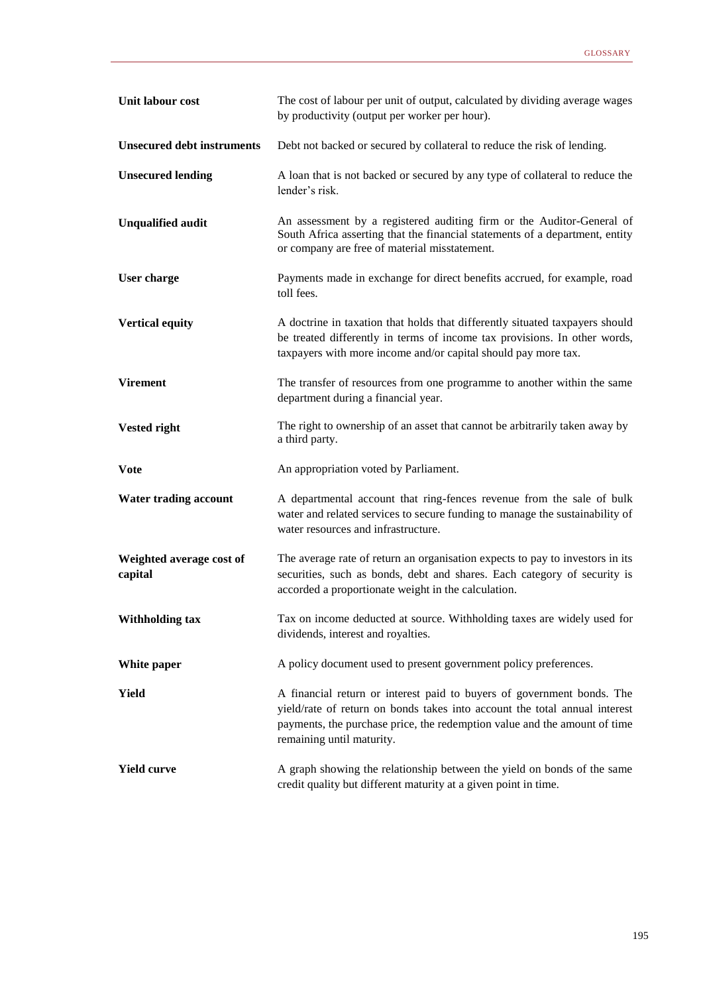| Unit labour cost                    | The cost of labour per unit of output, calculated by dividing average wages<br>by productivity (output per worker per hour).                                                                                                                                   |
|-------------------------------------|----------------------------------------------------------------------------------------------------------------------------------------------------------------------------------------------------------------------------------------------------------------|
| <b>Unsecured debt instruments</b>   | Debt not backed or secured by collateral to reduce the risk of lending.                                                                                                                                                                                        |
| <b>Unsecured lending</b>            | A loan that is not backed or secured by any type of collateral to reduce the<br>lender's risk.                                                                                                                                                                 |
| <b>Unqualified audit</b>            | An assessment by a registered auditing firm or the Auditor-General of<br>South Africa asserting that the financial statements of a department, entity<br>or company are free of material misstatement.                                                         |
| User charge                         | Payments made in exchange for direct benefits accrued, for example, road<br>toll fees.                                                                                                                                                                         |
| <b>Vertical equity</b>              | A doctrine in taxation that holds that differently situated taxpayers should<br>be treated differently in terms of income tax provisions. In other words,<br>taxpayers with more income and/or capital should pay more tax.                                    |
| <b>Virement</b>                     | The transfer of resources from one programme to another within the same<br>department during a financial year.                                                                                                                                                 |
| <b>Vested right</b>                 | The right to ownership of an asset that cannot be arbitrarily taken away by<br>a third party.                                                                                                                                                                  |
| <b>Vote</b>                         | An appropriation voted by Parliament.                                                                                                                                                                                                                          |
| <b>Water trading account</b>        | A departmental account that ring-fences revenue from the sale of bulk<br>water and related services to secure funding to manage the sustainability of<br>water resources and infrastructure.                                                                   |
| Weighted average cost of<br>capital | The average rate of return an organisation expects to pay to investors in its<br>securities, such as bonds, debt and shares. Each category of security is<br>accorded a proportionate weight in the calculation.                                               |
| <b>Withholding tax</b>              | Tax on income deducted at source. Withholding taxes are widely used for<br>dividends, interest and royalties.                                                                                                                                                  |
| White paper                         | A policy document used to present government policy preferences.                                                                                                                                                                                               |
| <b>Yield</b>                        | A financial return or interest paid to buyers of government bonds. The<br>yield/rate of return on bonds takes into account the total annual interest<br>payments, the purchase price, the redemption value and the amount of time<br>remaining until maturity. |
| <b>Yield curve</b>                  | A graph showing the relationship between the yield on bonds of the same<br>credit quality but different maturity at a given point in time.                                                                                                                     |